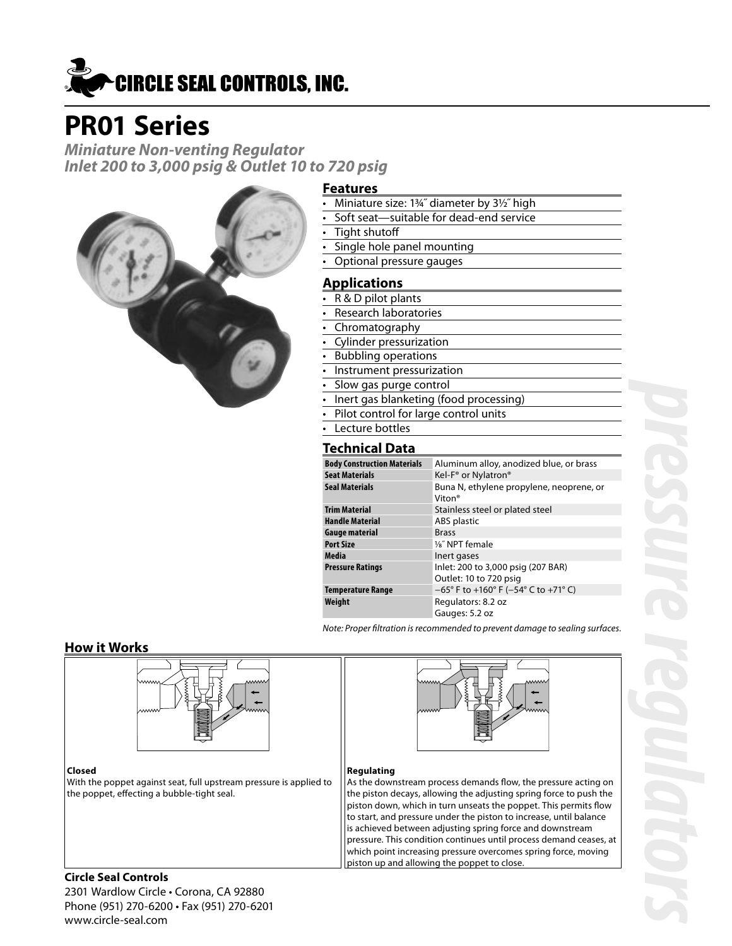

# **PR01 Series**

**Miniature Non-venting Regulator Inlet 200 to 3,000 psig & Outlet 10 to 720 psig**



#### **Features**

- Miniature size: 1¾˝ diameter by 3½˝ high
- Soft seat-suitable for dead-end service
- Tight shutoff
- Single hole panel mounting
- Optional pressure gauges

#### **Applications**

- R & D pilot plants
- Research laboratories
- Chromatography
- Cylinder pressurization
- Bubbling operations
- Instrument pressurization
- Slow gas purge control
- Inert gas blanketing (food processing)
- Pilot control for large control units
	- Lecture bottles

#### **Technical Data**

| .                                  |                                                                             |  |  |  |  |
|------------------------------------|-----------------------------------------------------------------------------|--|--|--|--|
| <b>Body Construction Materials</b> | Aluminum alloy, anodized blue, or brass                                     |  |  |  |  |
| Seat Materials                     | Kel-F <sup>®</sup> or Nylatron <sup>®</sup>                                 |  |  |  |  |
| Seal Materials                     | Buna N, ethylene propylene, neoprene, or<br>Viton <sup>®</sup>              |  |  |  |  |
| <b>Trim Material</b>               | Stainless steel or plated steel                                             |  |  |  |  |
| <b>Handle Material</b>             | ABS plastic                                                                 |  |  |  |  |
| Gauge material                     | <b>Brass</b>                                                                |  |  |  |  |
| <b>Port Size</b>                   | 1/ <sub>8</sub> " NPT female                                                |  |  |  |  |
| Media                              | Inert gases                                                                 |  |  |  |  |
| Pressure Ratings                   | Inlet: 200 to 3,000 psig (207 BAR)<br>Outlet: 10 to 720 psig                |  |  |  |  |
| Temperature Range                  | $-65^{\circ}$ F to +160 $^{\circ}$ F (-54 $^{\circ}$ C to +71 $^{\circ}$ C) |  |  |  |  |
| Weight                             | Regulators: 8.2 oz                                                          |  |  |  |  |
|                                    | Gauges: 5.2 oz                                                              |  |  |  |  |

Note: Proper filtration is recommended to prevent damage to sealing surfaces.

#### **How it Works**





#### **Regulating**

As the downstream process demands flow, the pressure acting on the piston decays, allowing the adjusting spring force to push the piston down, which in turn unseats the poppet. This permits flow to start, and pressure under the piston to increase, until balance is achieved between adjusting spring force and downstream pressure. This condition continues until process demand ceases, at which point increasing pressure overcomes spring force, moving piston up and allowing the poppet to close.

With the poppet against seat, full upstream pressure is applied to the poppet, effecting a bubble-tight seal.

#### **Circle Seal Controls**

2301 Wardlow Circle • Corona, CA 92880 Phone (951) 270-6200 • Fax (951) 270-6201 www.circle-seal.com